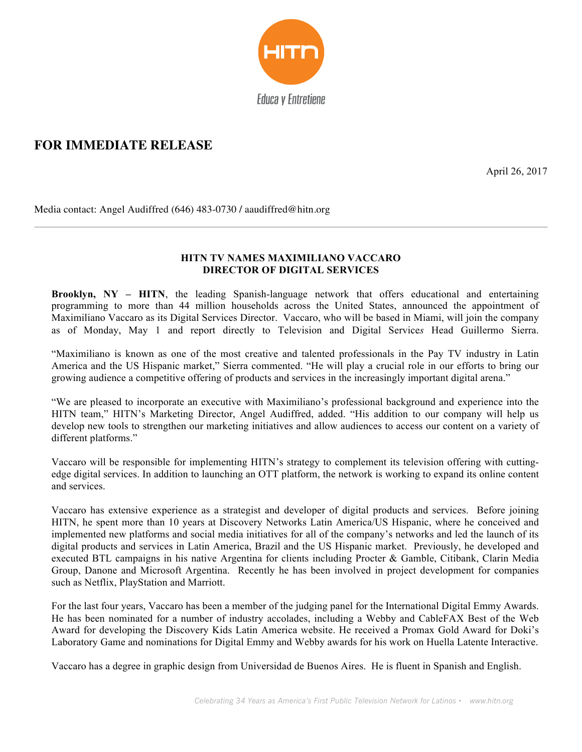

## **FOR IMMEDIATE RELEASE**

April 26, 2017

Media contact: Angel Audiffred (646) 483-0730 **/** aaudiffred@hitn.org

## **HITN TV NAMES MAXIMILIANO VACCARO DIRECTOR OF DIGITAL SERVICES**

**Brooklyn, NY – HITN**, the leading Spanish-language network that offers educational and entertaining programming to more than 44 million households across the United States, announced the appointment of Maximiliano Vaccaro as its Digital Services Director. Vaccaro, who will be based in Miami, will join the company as of Monday, May 1 and report directly to Television and Digital Service*s* Head Guillermo Sierra.

"Maximiliano is known as one of the most creative and talented professionals in the Pay TV industry in Latin America and the US Hispanic market," Sierra commented. "He will play a crucial role in our efforts to bring our growing audience a competitive offering of products and services in the increasingly important digital arena."

"We are pleased to incorporate an executive with Maximiliano's professional background and experience into the HITN team," HITN's Marketing Director, Angel Audiffred, added. "His addition to our company will help us develop new tools to strengthen our marketing initiatives and allow audiences to access our content on a variety of different platforms."

Vaccaro will be responsible for implementing HITN's strategy to complement its television offering with cuttingedge digital services. In addition to launching an OTT platform, the network is working to expand its online content and services.

Vaccaro has extensive experience as a strategist and developer of digital products and services. Before joining HITN, he spent more than 10 years at Discovery Networks Latin America/US Hispanic, where he conceived and implemented new platforms and social media initiatives for all of the company's networks and led the launch of its digital products and services in Latin America, Brazil and the US Hispanic market. Previously, he developed and executed BTL campaigns in his native Argentina for clients including Procter & Gamble, Citibank, Clarin Media Group, Danone and Microsoft Argentina. Recently he has been involved in project development for companies such as Netflix, PlayStation and Marriott.

For the last four years, Vaccaro has been a member of the judging panel for the International Digital Emmy Awards. He has been nominated for a number of industry accolades, including a Webby and CableFAX Best of the Web Award for developing the Discovery Kids Latin America website. He received a Promax Gold Award for Doki's Laboratory Game and nominations for Digital Emmy and Webby awards for his work on Huella Latente Interactive.

Vaccaro has a degree in graphic design from Universidad de Buenos Aires. He is fluent in Spanish and English.